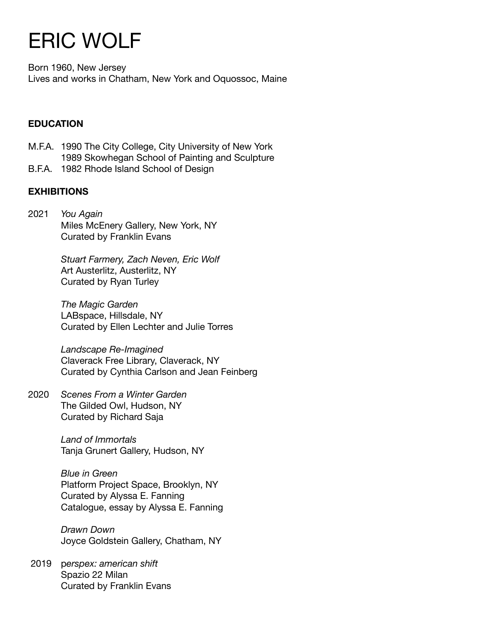# ERIC WOLF

Born 1960, New Jersey Lives and works in Chatham, New York and Oquossoc, Maine

# **EDUCATION**

- M.F.A. 1990 The City College, City University of New York 1989 Skowhegan School of Painting and Sculpture
- B.F.A. 1982 Rhode Island School of Design

# **EXHIBITIONS**

2021 *You Again*  Miles McEnery Gallery, New York, NY Curated by Franklin Evans

> *Stuart Farmery, Zach Neven, Eric Wolf*  Art Austerlitz, Austerlitz, NY Curated by Ryan Turley

*The Magic Garden* LABspace, Hillsdale, NY Curated by Ellen Lechter and Julie Torres

*Landscape Re-Imagined* Claverack Free Library, Claverack, NY Curated by Cynthia Carlson and Jean Feinberg

2020 *Scenes From a Winter Garden*  The Gilded Owl, Hudson, NY Curated by Richard Saja

> *Land of Immortals* Tanja Grunert Gallery, Hudson, NY

*Blue in Green* Platform Project Space, Brooklyn, NY Curated by Alyssa E. Fanning Catalogue, essay by Alyssa E. Fanning

*Drawn Down*  Joyce Goldstein Gallery, Chatham, NY

 2019 p*erspex: american shift* Spazio 22 Milan Curated by Franklin Evans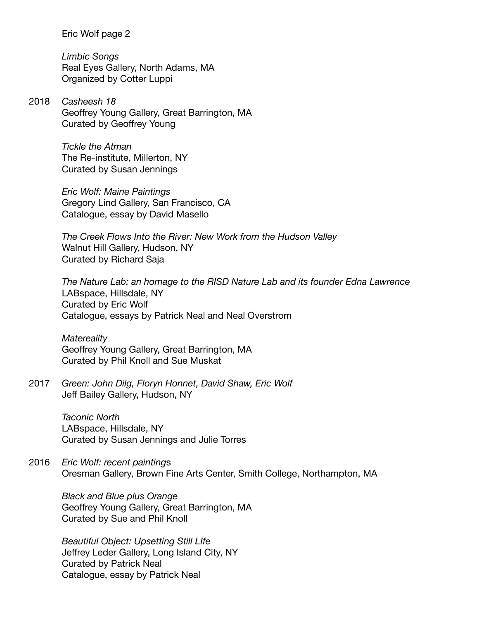*Limbic Songs* Real Eyes Gallery, North Adams, MA Organized by Cotter Luppi

2018 *Casheesh 18* Geoffrey Young Gallery, Great Barrington, MA Curated by Geoffrey Young

> *Tickle the Atman* The Re-institute, Millerton, NY Curated by Susan Jennings

*Eric Wolf: Maine Paintings* Gregory Lind Gallery, San Francisco, CA Catalogue, essay by David Masello

*The Creek Flows Into the River: New Work from the Hudson Valley* Walnut Hill Gallery, Hudson, NY Curated by Richard Saja

*The Nature Lab: an homage to the RISD Nature Lab and its founder Edna Lawrence* LABspace, Hillsdale, NY Curated by Eric Wolf Catalogue, essays by Patrick Neal and Neal Overstrom

*Matereality* Geoffrey Young Gallery, Great Barrington, MA Curated by Phil Knoll and Sue Muskat

2017 *Green: John Dilg, Floryn Honnet, David Shaw, Eric Wolf* Jeff Bailey Gallery, Hudson, NY

> *Taconic North* LABspace, Hillsdale, NY Curated by Susan Jennings and Julie Torres

2016 *Eric Wolf: recent painting*s Oresman Gallery, Brown Fine Arts Center, Smith College, Northampton, MA

*Black and Blue plus Orange* Geoffrey Young Gallery, Great Barrington, MA Curated by Sue and Phil Knoll

*Beautiful Object: Upsetting Still LIfe* Jeffrey Leder Gallery, Long Island City, NY Curated by Patrick Neal Catalogue, essay by Patrick Neal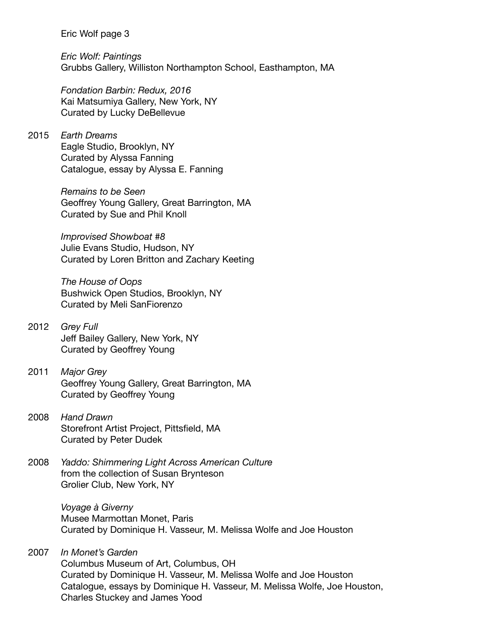*Eric Wolf: Paintings* Grubbs Gallery, Williston Northampton School, Easthampton, MA

*Fondation Barbin: Redux, 2016* Kai Matsumiya Gallery, New York, NY Curated by Lucky DeBellevue

# 2015 *Earth Dreams* Eagle Studio, Brooklyn, NY Curated by Alyssa Fanning Catalogue, essay by Alyssa E. Fanning

*Remains to be Seen* Geoffrey Young Gallery, Great Barrington, MA Curated by Sue and Phil Knoll

*Improvised Showboat #8* Julie Evans Studio, Hudson, NY Curated by Loren Britton and Zachary Keeting

*The House of Oops* Bushwick Open Studios, Brooklyn, NY Curated by Meli SanFiorenzo

# 2012 *Grey Full* Jeff Bailey Gallery, New York, NY Curated by Geoffrey Young

- 2011 *Major Grey* Geoffrey Young Gallery, Great Barrington, MA Curated by Geoffrey Young
- 2008 *Hand Drawn* Storefront Artist Project, Pittsfield, MA Curated by Peter Dudek
- 2008 *Yaddo: Shimmering Light Across American Culture* from the collection of Susan Brynteson Grolier Club, New York, NY

*Voyage à Giverny* Musee Marmottan Monet, Paris Curated by Dominique H. Vasseur, M. Melissa Wolfe and Joe Houston

2007 *In Monet's Garden* Columbus Museum of Art, Columbus, OH Curated by Dominique H. Vasseur, M. Melissa Wolfe and Joe Houston Catalogue, essays by Dominique H. Vasseur, M. Melissa Wolfe, Joe Houston, Charles Stuckey and James Yood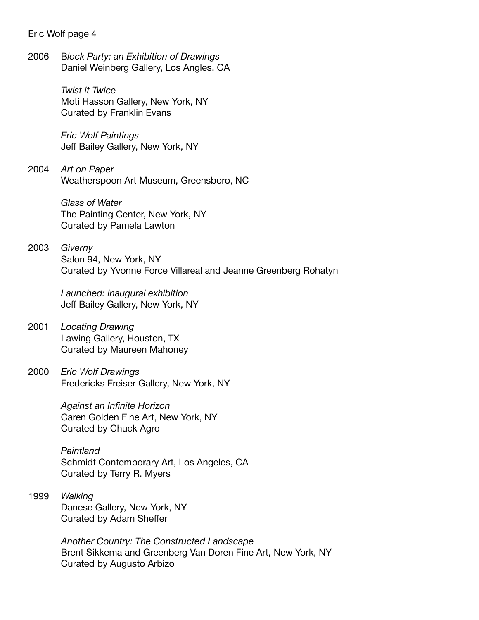2006 B*lock Party: an Exhibition of Drawings* Daniel Weinberg Gallery, Los Angles, CA

> *Twist it Twice* Moti Hasson Gallery, New York, NY Curated by Franklin Evans

*Eric Wolf Paintings* Jeff Bailey Gallery, New York, NY

2004 *Art on Paper* Weatherspoon Art Museum, Greensboro, NC

> *Glass of Water* The Painting Center, New York, NY Curated by Pamela Lawton

2003 *Giverny* Salon 94, New York, NY Curated by Yvonne Force Villareal and Jeanne Greenberg Rohatyn

> *Launched: inaugural exhibition* Jeff Bailey Gallery, New York, NY

- 2001 *Locating Drawing* Lawing Gallery, Houston, TX Curated by Maureen Mahoney
- 2000 *Eric Wolf Drawings* Fredericks Freiser Gallery, New York, NY

*Against an Infinite Horizon* Caren Golden Fine Art, New York, NY Curated by Chuck Agro

*Paintland* Schmidt Contemporary Art, Los Angeles, CA Curated by Terry R. Myers

1999 *Walking* Danese Gallery, New York, NY Curated by Adam Sheffer

> *Another Country: The Constructed Landscape* Brent Sikkema and Greenberg Van Doren Fine Art, New York, NY Curated by Augusto Arbizo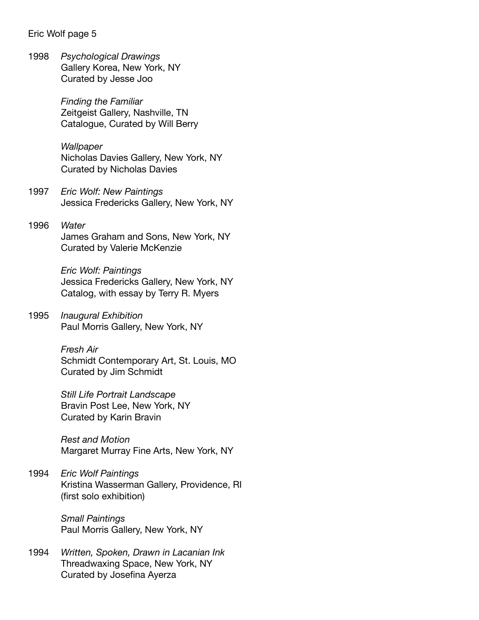1998 *Psychological Drawings* Gallery Korea, New York, NY Curated by Jesse Joo

> *Finding the Familiar* Zeitgeist Gallery, Nashville, TN Catalogue, Curated by Will Berry

*Wallpaper* Nicholas Davies Gallery, New York, NY Curated by Nicholas Davies

- 1997 *Eric Wolf: New Paintings* Jessica Fredericks Gallery, New York, NY
- 1996 *Water* James Graham and Sons, New York, NY Curated by Valerie McKenzie

*Eric Wolf: Paintings* Jessica Fredericks Gallery, New York, NY Catalog, with essay by Terry R. Myers

1995 *Inaugural Exhibition* Paul Morris Gallery, New York, NY

> *Fresh Air* Schmidt Contemporary Art, St. Louis, MO Curated by Jim Schmidt

*Still Life Portrait Landscape* Bravin Post Lee, New York, NY Curated by Karin Bravin

*Rest and Motion* Margaret Murray Fine Arts, New York, NY

1994 *Eric Wolf Paintings* Kristina Wasserman Gallery, Providence, RI (first solo exhibition)

> *Small Paintings* Paul Morris Gallery, New York, NY

1994 *Written, Spoken, Drawn in Lacanian Ink* Threadwaxing Space, New York, NY Curated by Josefina Ayerza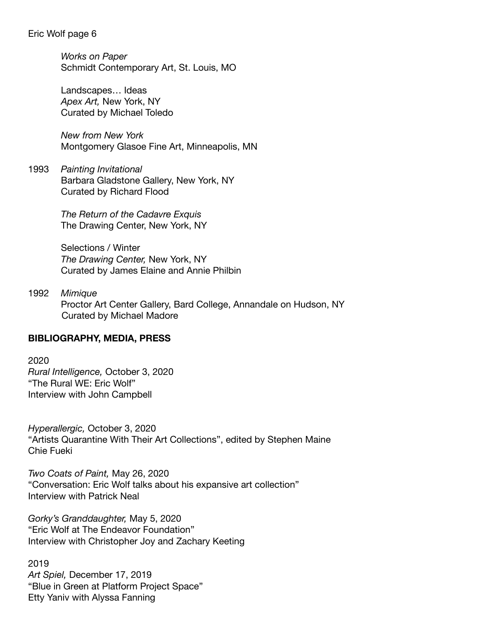*Works on Paper* Schmidt Contemporary Art, St. Louis, MO

Landscapes… Ideas *Apex Art,* New York, NY Curated by Michael Toledo

*New from New York* Montgomery Glasoe Fine Art, Minneapolis, MN

1993 *Painting Invitational* Barbara Gladstone Gallery, New York, NY Curated by Richard Flood

> *The Return of the Cadavre Exquis* The Drawing Center, New York, NY

Selections / Winter *The Drawing Center,* New York, NY Curated by James Elaine and Annie Philbin

1992 *Mimique* Proctor Art Center Gallery, Bard College, Annandale on Hudson, NY Curated by Michael Madore

## **BIBLIOGRAPHY, MEDIA, PRESS**

2020 *Rural Intelligence,* October 3, 2020 "The Rural WE: Eric Wolf" Interview with John Campbell

*Hyperallergic,* October 3, 2020 "Artists Quarantine With Their Art Collections", edited by Stephen Maine Chie Fueki

*Two Coats of Paint,* May 26, 2020 "Conversation: Eric Wolf talks about his expansive art collection" Interview with Patrick Neal

*Gorky's Granddaughter,* May 5, 2020 "Eric Wolf at The Endeavor Foundation" Interview with Christopher Joy and Zachary Keeting

2019 *Art Spiel,* December 17, 2019 "Blue in Green at Platform Project Space" Etty Yaniv with Alyssa Fanning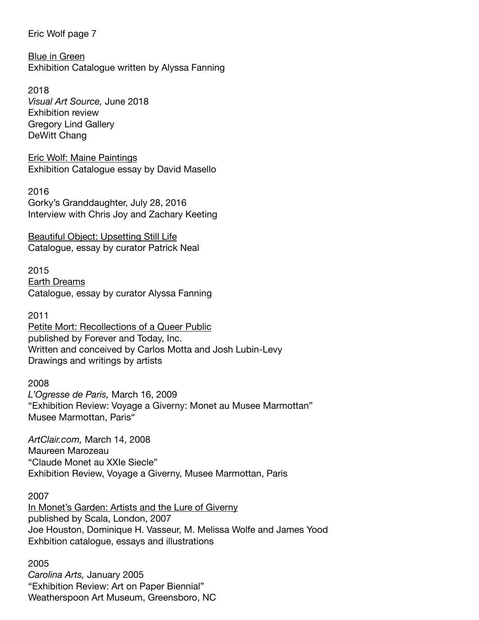Blue in Green Exhibition Catalogue written by Alyssa Fanning

2018 *Visual Art Source,* June 2018 Exhibition review Gregory Lind Gallery DeWitt Chang

Eric Wolf: Maine Paintings Exhibition Catalogue essay by David Masello

2016 Gorky's Granddaughter, July 28, 2016 Interview with Chris Joy and Zachary Keeting

Beautiful Object: Upsetting Still Life Catalogue, essay by curator Patrick Neal

2015 Earth Dreams Catalogue, essay by curator Alyssa Fanning

2011 Petite Mort: Recollections of a Queer Public published by Forever and Today, Inc. Written and conceived by Carlos Motta and Josh Lubin-Levy Drawings and writings by artists

2008

*L'Ogresse de Paris,* March 16, 2009 "Exhibition Review: Voyage a Giverny: Monet au Musee Marmottan" Musee Marmottan, Paris"

*ArtClair.com,* March 14, 2008 Maureen Marozeau "Claude Monet au XXIe Siecle" Exhibition Review, Voyage a Giverny, Musee Marmottan, Paris

2007

In Monet's Garden: Artists and the Lure of Giverny published by Scala, London, 2007 Joe Houston, Dominique H. Vasseur, M. Melissa Wolfe and James Yood Exhbition catalogue, essays and illustrations

2005 *Carolina Arts,* January 2005 "Exhibition Review: Art on Paper Biennial" Weatherspoon Art Museum, Greensboro, NC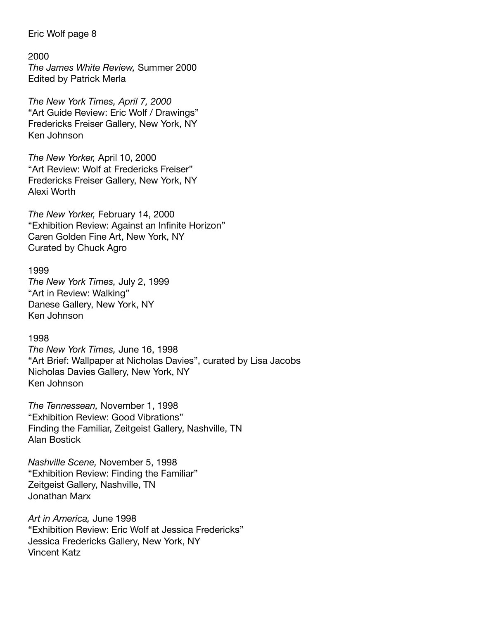#### 2000

*The James White Review,* Summer 2000 Edited by Patrick Merla

*The New York Times, April 7, 2000* "Art Guide Review: Eric Wolf / Drawings" Fredericks Freiser Gallery, New York, NY Ken Johnson

*The New Yorker,* April 10, 2000 "Art Review: Wolf at Fredericks Freiser" Fredericks Freiser Gallery, New York, NY Alexi Worth

*The New Yorker,* February 14, 2000 "Exhibition Review: Against an Infinite Horizon" Caren Golden Fine Art, New York, NY Curated by Chuck Agro

#### 1999

*The New York Times,* July 2, 1999 "Art in Review: Walking" Danese Gallery, New York, NY Ken Johnson

#### 1998

*The New York Times,* June 16, 1998 "Art Brief: Wallpaper at Nicholas Davies", curated by Lisa Jacobs Nicholas Davies Gallery, New York, NY Ken Johnson

*The Tennessean,* November 1, 1998 "Exhibition Review: Good Vibrations" Finding the Familiar, Zeitgeist Gallery, Nashville, TN Alan Bostick

*Nashville Scene,* November 5, 1998 "Exhibition Review: Finding the Familiar" Zeitgeist Gallery, Nashville, TN Jonathan Marx

*Art in America,* June 1998 "Exhibition Review: Eric Wolf at Jessica Fredericks" Jessica Fredericks Gallery, New York, NY Vincent Katz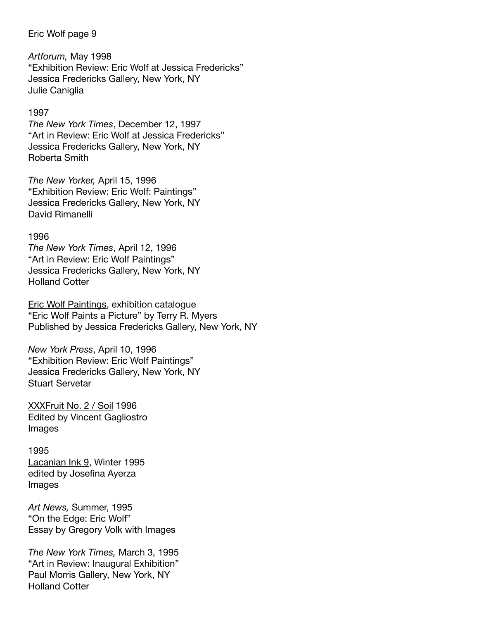*Artforum,* May 1998 "Exhibition Review: Eric Wolf at Jessica Fredericks" Jessica Fredericks Gallery, New York, NY Julie Caniglia

#### 1997

*The New York Times*, December 12, 1997 "Art in Review: Eric Wolf at Jessica Fredericks" Jessica Fredericks Gallery, New York, NY Roberta Smith

*The New Yorker,* April 15, 1996 "Exhibition Review: Eric Wolf: Paintings" Jessica Fredericks Gallery, New York, NY David Rimanelli

#### 1996

*The New York Times*, April 12, 1996 "Art in Review: Eric Wolf Paintings" Jessica Fredericks Gallery, New York, NY Holland Cotter

Eric Wolf Paintings, exhibition catalogue "Eric Wolf Paints a Picture" by Terry R. Myers Published by Jessica Fredericks Gallery, New York, NY

*New York Press*, April 10, 1996 "Exhibition Review: Eric Wolf Paintings" Jessica Fredericks Gallery, New York, NY Stuart Servetar

XXXFruit No. 2 / Soil 1996 Edited by Vincent Gagliostro Images

#### 1995

Lacanian Ink 9, Winter 1995 edited by Josefina Ayerza Images

*Art News,* Summer, 1995 "On the Edge: Eric Wolf" Essay by Gregory Volk with Images

*The New York Times,* March 3, 1995 "Art in Review: Inaugural Exhibition" Paul Morris Gallery, New York, NY Holland Cotter